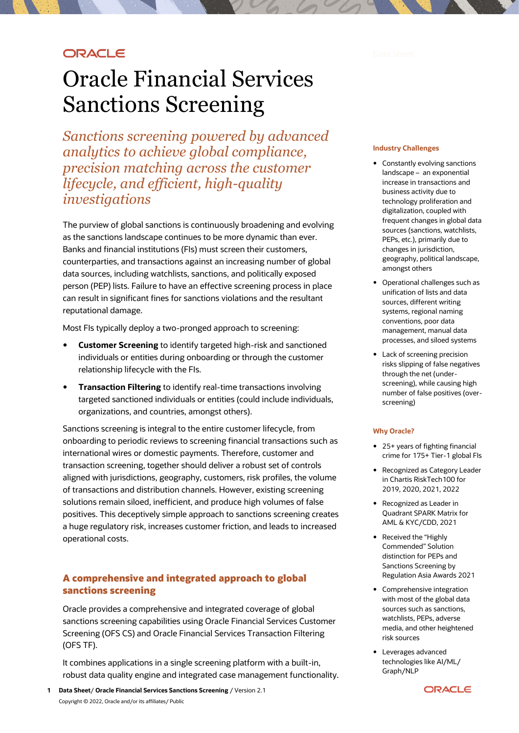# **ORACLE**

# Oracle Financial Services Sanctions Screening

*Sanctions screening powered by advanced analytics to achieve global compliance, precision matching across the customer lifecycle, and efficient, high-quality investigations* 

The purview of global sanctions is continuously broadening and evolving as the sanctions landscape continues to be more dynamic than ever. Banks and financial institutions (FIs) must screen their customers, counterparties, and transactions against an increasing number of global data sources, including watchlists, sanctions, and politically exposed person (PEP) lists. Failure to have an effective screening process in place can result in significant fines for sanctions violations and the resultant reputational damage.

Most FIs typically deploy a two-pronged approach to screening:

- **Customer Screening** to identify targeted high-risk and sanctioned individuals or entities during onboarding or through the customer relationship lifecycle with the FIs.
- **Transaction Filtering** to identify real-time transactions involving targeted sanctioned individuals or entities (could include individuals, organizations, and countries, amongst others).

Sanctions screening is integral to the entire customer lifecycle, from onboarding to periodic reviews to screening financial transactions such as international wires or domestic payments. Therefore, customer and transaction screening, together should deliver a robust set of controls aligned with jurisdictions, geography, customers, risk profiles, the volume of transactions and distribution channels. However, existing screening solutions remain siloed, inefficient, and produce high volumes of false positives. This deceptively simple approach to sanctions screening creates a huge regulatory risk, increases customer friction, and leads to increased operational costs.

## **A comprehensive and integrated approach to global sanctions screening**

Oracle provides a comprehensive and integrated coverage of global sanctions screening capabilities using Oracle Financial Services Customer Screening (OFS CS) and Oracle Financial Services Transaction Filtering (OFS TF).

It combines applications in a single screening platform with a built-in, robust data quality engine and integrated case management functionality.

#### **Industry Challenges**

- Constantly evolving sanctions landscape – an exponential increase in transactions and business activity due to technology proliferation and digitalization, coupled with frequent changes in global data sources (sanctions, watchlists, PEPs, etc.), primarily due to changes in jurisdiction, geography, political landscape, amongst others
- Operational challenges such as unification of lists and data sources, different writing systems, regional naming conventions, poor data management, manual data processes, and siloed systems
- Lack of screening precision risks slipping of false negatives through the net (underscreening), while causing high number of false positives (overscreening)

#### **Why Oracle?**

- 25+ years of fighting financial crime for 175+ Tier-1 global FIs
- Recognized as Category Leader in Chartis RiskTech100 for 2019, 2020, 2021, 2022
- Recognized as Leader in Quadrant SPARK Matrix for AML & KYC/CDD, 2021
- Received the "Highly Commended" Solution distinction for PEPs and Sanctions Screening by Regulation Asia Awards 2021
- Comprehensive integration with most of the global data sources such as sanctions, watchlists, PEPs, adverse media, and other heightened risk sources
- Leverages advanced technologies like AI/ML/ Graph/NLP

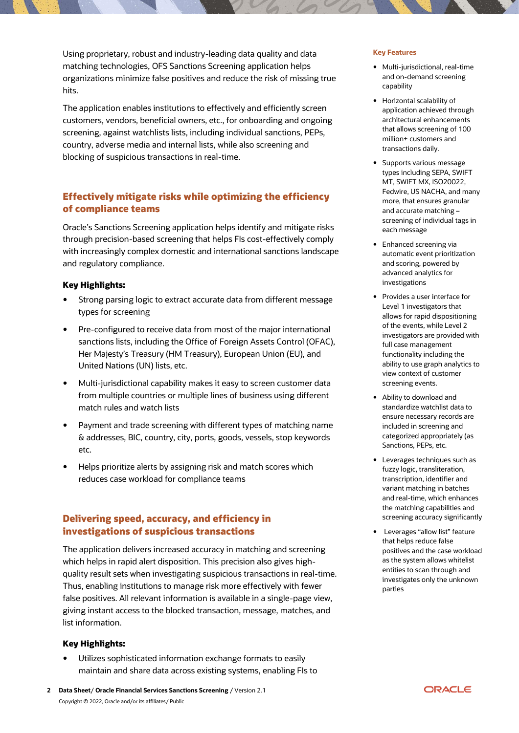Using proprietary, robust and industry-leading data quality and data matching technologies, OFS Sanctions Screening application helps organizations minimize false positives and reduce the risk of missing true hits.

The application enables institutions to effectively and efficiently screen customers, vendors, beneficial owners, etc., for onboarding and ongoing screening, against watchlists lists, including individual sanctions, PEPs, country, adverse media and internal lists, while also screening and blocking of suspicious transactions in real-time.

# **Effectively mitigate risks while optimizing the efficiency of compliance teams**

Oracle's Sanctions Screening application helps identify and mitigate risks through precision-based screening that helps FIs cost-effectively comply with increasingly complex domestic and international sanctions landscape and regulatory compliance.

## **Key Highlights:**

- Strong parsing logic to extract accurate data from different message types for screening
- Pre-configured to receive data from most of the major international sanctions lists, including the Office of Foreign Assets Control (OFAC), Her Majesty's Treasury (HM Treasury), European Union (EU), and United Nations (UN) lists, etc.
- Multi-jurisdictional capability makes it easy to screen customer data from multiple countries or multiple lines of business using different match rules and watch lists
- Payment and trade screening with different types of matching name & addresses, BIC, country, city, ports, goods, vessels, stop keywords etc.
- Helps prioritize alerts by assigning risk and match scores which reduces case workload for compliance teams

## **Delivering speed, accuracy, and efficiency in investigations of suspicious transactions**

The application delivers increased accuracy in matching and screening which helps in rapid alert disposition. This precision also gives highquality result sets when investigating suspicious transactions in real-time. Thus, enabling institutions to manage risk more effectively with fewer false positives. All relevant information is available in a single-page view, giving instant access to the blocked transaction, message, matches, and list information.

## **Key Highlights:**

 Utilizes sophisticated information exchange formats to easily maintain and share data across existing systems, enabling FIs to

## **Key Features**

- Multi-jurisdictional, real-time and on-demand screening capability
- Horizontal scalability of application achieved through architectural enhancements that allows screening of 100 million+ customers and transactions daily.
- Supports various message types including SEPA, SWIFT MT, SWIFT MX, ISO20022, Fedwire, US NACHA, and many more, that ensures granular and accurate matching – screening of individual tags in each message
- Enhanced screening via automatic event prioritization and scoring, powered by advanced analytics for investigations
- Provides a user interface for Level 1 investigators that allows for rapid dispositioning of the events, while Level 2 investigators are provided with full case management functionality including the ability to use graph analytics to view context of customer screening events.
- Ability to download and standardize watchlist data to ensure necessary records are included in screening and categorized appropriately (as Sanctions, PEPs, etc.
- Leverages techniques such as fuzzy logic, transliteration, transcription, identifier and variant matching in batches and real-time, which enhances the matching capabilities and screening accuracy significantly
- Leverages "allow list" feature that helps reduce false positives and the case workload as the system allows whitelist entities to scan through and investigates only the unknown parties



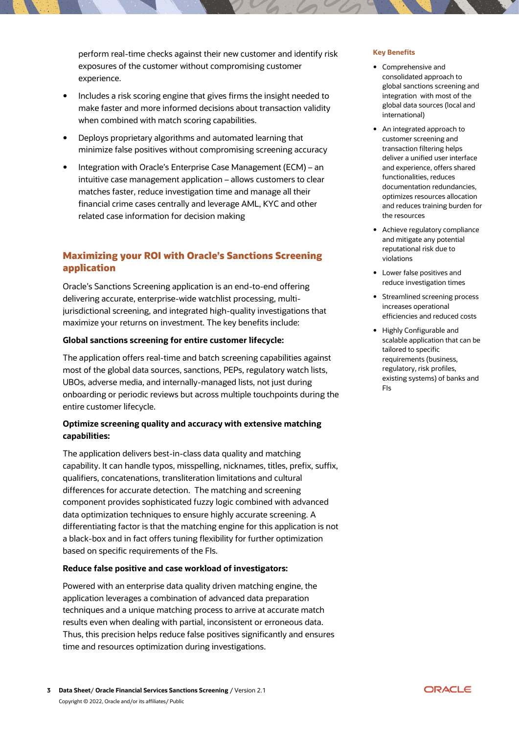perform real-time checks against their new customer and identify risk exposures of the customer without compromising customer experience.

- Includes a risk scoring engine that gives firms the insight needed to make faster and more informed decisions about transaction validity when combined with match scoring capabilities.
- Deploys proprietary algorithms and automated learning that minimize false positives without compromising screening accuracy
- Integration with Oracle's Enterprise Case Management (ECM) an intuitive case management application – allows customers to clear matches faster, reduce investigation time and manage all their financial crime cases centrally and leverage AML, KYC and other related case information for decision making

# **Maximizing your ROI with Oracle's Sanctions Screening application**

Oracle's Sanctions Screening application is an end-to-end offering delivering accurate, enterprise-wide watchlist processing, multijurisdictional screening, and integrated high-quality investigations that maximize your returns on investment. The key benefits include:

#### **Global sanctions screening for entire customer lifecycle:**

The application offers real-time and batch screening capabilities against most of the global data sources, sanctions, PEPs, regulatory watch lists, UBOs, adverse media, and internally-managed lists, not just during onboarding or periodic reviews but across multiple touchpoints during the entire customer lifecycle.

## **Optimize screening quality and accuracy with extensive matching capabilities:**

The application delivers best-in-class data quality and matching capability. It can handle typos, misspelling, nicknames, titles, prefix, suffix, qualifiers, concatenations, transliteration limitations and cultural differences for accurate detection. The matching and screening component provides sophisticated fuzzy logic combined with advanced data optimization techniques to ensure highly accurate screening. A differentiating factor is that the matching engine for this application is not a black-box and in fact offers tuning flexibility for further optimization based on specific requirements of the FIs.

#### **Reduce false positive and case workload of investigators:**

Powered with an enterprise data quality driven matching engine, the application leverages a combination of advanced data preparation techniques and a unique matching process to arrive at accurate match results even when dealing with partial, inconsistent or erroneous data. Thus, this precision helps reduce false positives significantly and ensures time and resources optimization during investigations.

#### **Key Benefits**

- Comprehensive and consolidated approach to global sanctions screening and integration with most of the global data sources (local and international)
- An integrated approach to customer screening and transaction filtering helps deliver a unified user interface and experience, offers shared functionalities, reduces documentation redundancies, optimizes resources allocation and reduces training burden for the resources
- Achieve regulatory compliance and mitigate any potential reputational risk due to violations
- Lower false positives and reduce investigation times
- Streamlined screening process increases operational efficiencies and reduced costs
- Highly Configurable and scalable application that can be tailored to specific requirements (business, regulatory, risk profiles, existing systems) of banks and FIs

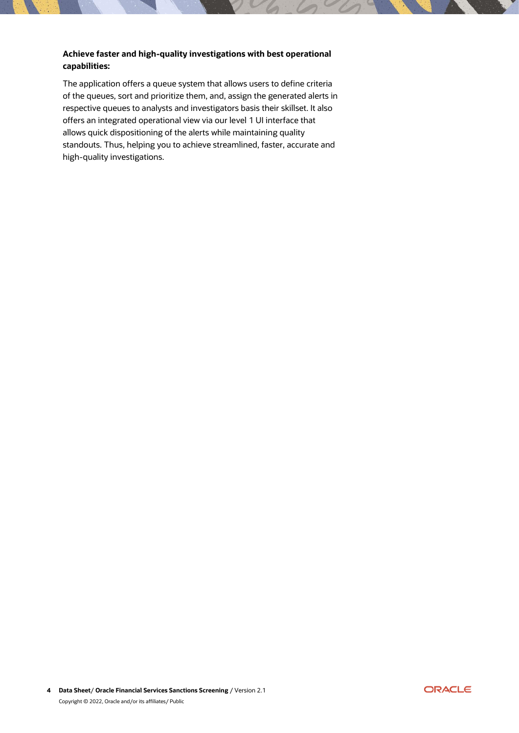## **Achieve faster and high-quality investigations with best operational capabilities:**

The application offers a queue system that allows users to define criteria of the queues, sort and prioritize them, and, assign the generated alerts in respective queues to analysts and investigators basis their skillset. It also offers an integrated operational view via our level 1 UI interface that allows quick dispositioning of the alerts while maintaining quality standouts. Thus, helping you to achieve streamlined, faster, accurate and high-quality investigations.